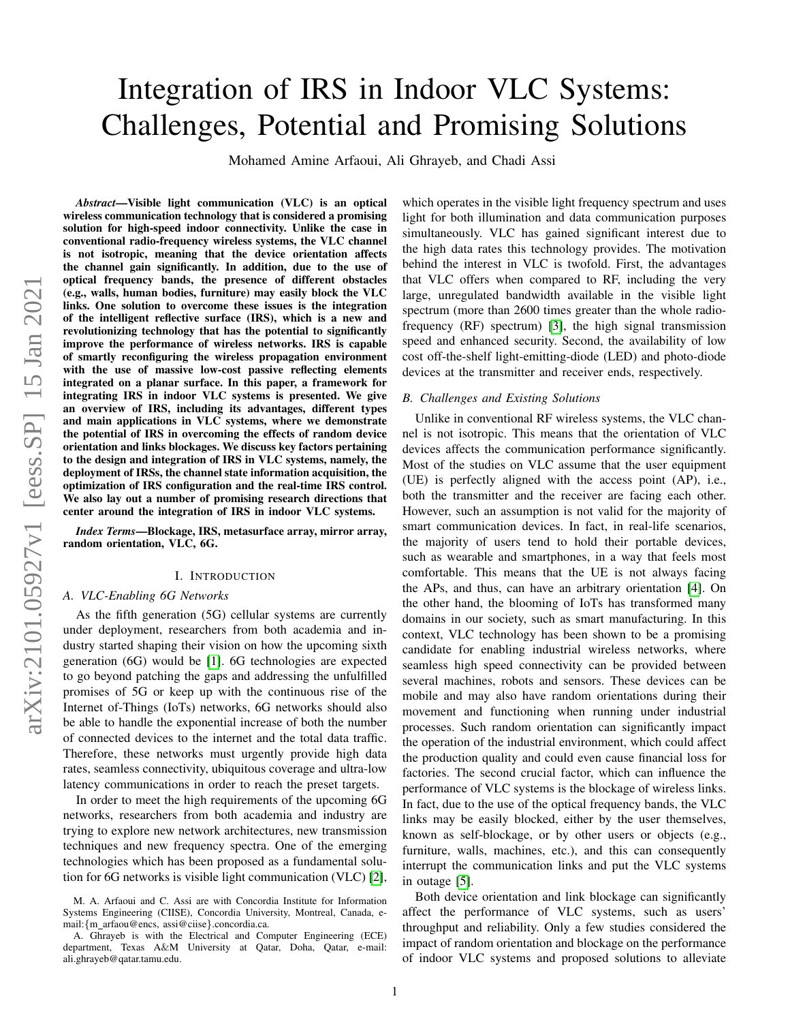# Integration of IRS in Indoor VLC Systems: Challenges, Potential and Promising Solutions

Mohamed Amine Arfaoui, Ali Ghrayeb, and Chadi Assi

*Abstract*—Visible light communication (VLC) is an optical wireless communication technology that is considered a promising solution for high-speed indoor connectivity. Unlike the case in conventional radio-frequency wireless systems, the VLC channel is not isotropic, meaning that the device orientation affects the channel gain significantly. In addition, due to the use of optical frequency bands, the presence of different obstacles (e.g., walls, human bodies, furniture) may easily block the VLC links. One solution to overcome these issues is the integration of the intelligent reflective surface (IRS), which is a new and revolutionizing technology that has the potential to significantly improve the performance of wireless networks. IRS is capable of smartly reconfiguring the wireless propagation environment with the use of massive low-cost passive reflecting elements integrated on a planar surface. In this paper, a framework for integrating IRS in indoor VLC systems is presented. We give an overview of IRS, including its advantages, different types and main applications in VLC systems, where we demonstrate the potential of IRS in overcoming the effects of random device orientation and links blockages. We discuss key factors pertaining to the design and integration of IRS in VLC systems, namely, the deployment of IRSs, the channel state information acquisition, the optimization of IRS configuration and the real-time IRS control. We also lay out a number of promising research directions that center around the integration of IRS in indoor VLC systems.

*Index Terms*—Blockage, IRS, metasurface array, mirror array, random orientation, VLC, 6G.

## I. INTRODUCTION

## *A. VLC-Enabling 6G Networks*

As the fifth generation (5G) cellular systems are currently under deployment, researchers from both academia and industry started shaping their vision on how the upcoming sixth generation (6G) would be [\[1\]](#page-5-0). 6G technologies are expected to go beyond patching the gaps and addressing the unfulfilled promises of 5G or keep up with the continuous rise of the Internet of-Things (IoTs) networks, 6G networks should also be able to handle the exponential increase of both the number of connected devices to the internet and the total data traffic. Therefore, these networks must urgently provide high data rates, seamless connectivity, ubiquitous coverage and ultra-low latency communications in order to reach the preset targets.

In order to meet the high requirements of the upcoming 6G networks, researchers from both academia and industry are trying to explore new network architectures, new transmission techniques and new frequency spectra. One of the emerging technologies which has been proposed as a fundamental solution for 6G networks is visible light communication (VLC) [\[2\]](#page-5-1),

which operates in the visible light frequency spectrum and uses light for both illumination and data communication purposes simultaneously. VLC has gained significant interest due to the high data rates this technology provides. The motivation behind the interest in VLC is twofold. First, the advantages that VLC offers when compared to RF, including the very large, unregulated bandwidth available in the visible light spectrum (more than 2600 times greater than the whole radiofrequency (RF) spectrum) [\[3\]](#page-5-2), the high signal transmission speed and enhanced security. Second, the availability of low cost off-the-shelf light-emitting-diode (LED) and photo-diode devices at the transmitter and receiver ends, respectively.

## *B. Challenges and Existing Solutions*

Unlike in conventional RF wireless systems, the VLC channel is not isotropic. This means that the orientation of VLC devices affects the communication performance significantly. Most of the studies on VLC assume that the user equipment (UE) is perfectly aligned with the access point (AP), i.e., both the transmitter and the receiver are facing each other. However, such an assumption is not valid for the majority of smart communication devices. In fact, in real-life scenarios, the majority of users tend to hold their portable devices, such as wearable and smartphones, in a way that feels most comfortable. This means that the UE is not always facing the APs, and thus, can have an arbitrary orientation [\[4\]](#page-5-3). On the other hand, the blooming of IoTs has transformed many domains in our society, such as smart manufacturing. In this context, VLC technology has been shown to be a promising candidate for enabling industrial wireless networks, where seamless high speed connectivity can be provided between several machines, robots and sensors. These devices can be mobile and may also have random orientations during their movement and functioning when running under industrial processes. Such random orientation can significantly impact the operation of the industrial environment, which could affect the production quality and could even cause financial loss for factories. The second crucial factor, which can influence the performance of VLC systems is the blockage of wireless links. In fact, due to the use of the optical frequency bands, the VLC links may be easily blocked, either by the user themselves, known as self-blockage, or by other users or objects (e.g., furniture, walls, machines, etc.), and this can consequently interrupt the communication links and put the VLC systems in outage [\[5\]](#page-5-4).

Both device orientation and link blockage can significantly affect the performance of VLC systems, such as users' throughput and reliability. Only a few studies considered the impact of random orientation and blockage on the performance of indoor VLC systems and proposed solutions to alleviate

M. A. Arfaoui and C. Assi are with Concordia Institute for Information Systems Engineering (CIISE), Concordia University, Montreal, Canada, email:{m arfaou@encs, assi@ciise}.concordia.ca.

A. Ghrayeb is with the Electrical and Computer Engineering (ECE) department, Texas A&M University at Qatar, Doha, Qatar, e-mail: ali.ghrayeb@qatar.tamu.edu.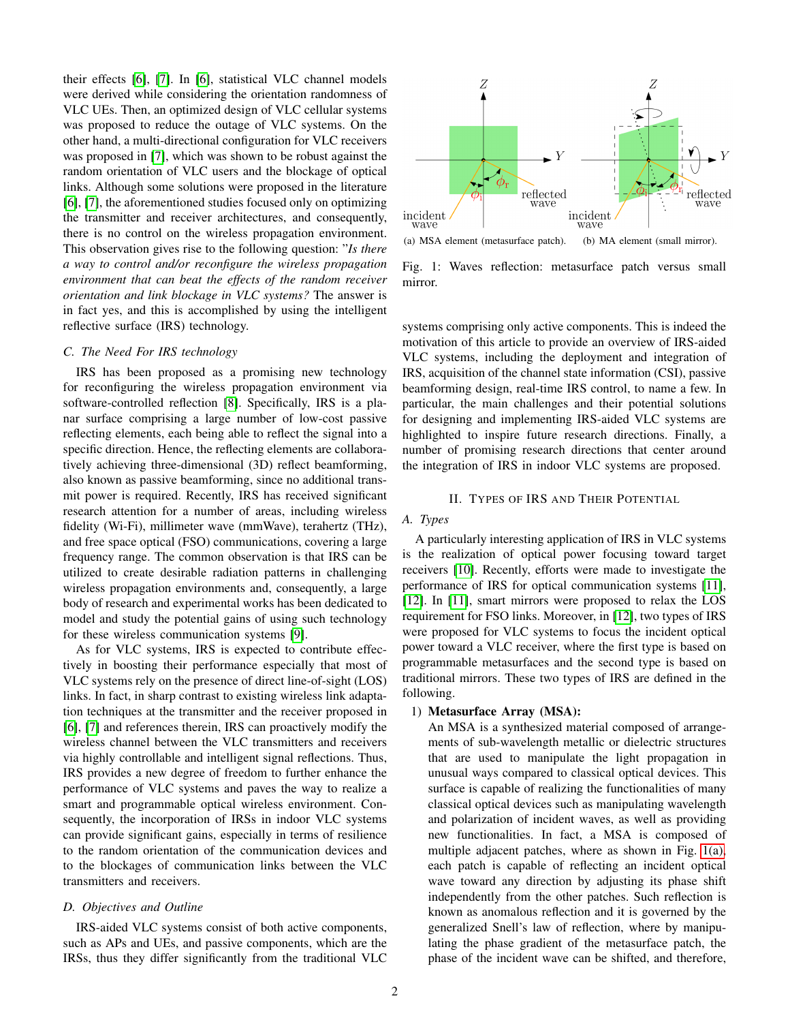their effects [\[6\]](#page-5-5), [\[7\]](#page-5-6). In [\[6\]](#page-5-5), statistical VLC channel models were derived while considering the orientation randomness of VLC UEs. Then, an optimized design of VLC cellular systems was proposed to reduce the outage of VLC systems. On the other hand, a multi-directional configuration for VLC receivers was proposed in [\[7\]](#page-5-6), which was shown to be robust against the random orientation of VLC users and the blockage of optical links. Although some solutions were proposed in the literature [\[6\]](#page-5-5), [\[7\]](#page-5-6), the aforementioned studies focused only on optimizing the transmitter and receiver architectures, and consequently, there is no control on the wireless propagation environment. This observation gives rise to the following question: "*Is there a way to control and/or reconfigure the wireless propagation environment that can beat the effects of the random receiver orientation and link blockage in VLC systems?* The answer is in fact yes, and this is accomplished by using the intelligent reflective surface (IRS) technology.

## *C. The Need For IRS technology*

IRS has been proposed as a promising new technology for reconfiguring the wireless propagation environment via software-controlled reflection [\[8\]](#page-5-7). Specifically, IRS is a planar surface comprising a large number of low-cost passive reflecting elements, each being able to reflect the signal into a specific direction. Hence, the reflecting elements are collaboratively achieving three-dimensional (3D) reflect beamforming, also known as passive beamforming, since no additional transmit power is required. Recently, IRS has received significant research attention for a number of areas, including wireless fidelity (Wi-Fi), millimeter wave (mmWave), terahertz (THz), and free space optical (FSO) communications, covering a large frequency range. The common observation is that IRS can be utilized to create desirable radiation patterns in challenging wireless propagation environments and, consequently, a large body of research and experimental works has been dedicated to model and study the potential gains of using such technology for these wireless communication systems [\[9\]](#page-5-8).

As for VLC systems, IRS is expected to contribute effectively in boosting their performance especially that most of VLC systems rely on the presence of direct line-of-sight (LOS) links. In fact, in sharp contrast to existing wireless link adaptation techniques at the transmitter and the receiver proposed in [\[6\]](#page-5-5), [\[7\]](#page-5-6) and references therein, IRS can proactively modify the wireless channel between the VLC transmitters and receivers via highly controllable and intelligent signal reflections. Thus, IRS provides a new degree of freedom to further enhance the performance of VLC systems and paves the way to realize a smart and programmable optical wireless environment. Consequently, the incorporation of IRSs in indoor VLC systems can provide significant gains, especially in terms of resilience to the random orientation of the communication devices and to the blockages of communication links between the VLC transmitters and receivers.

## *D. Objectives and Outline*

IRS-aided VLC systems consist of both active components, such as APs and UEs, and passive components, which are the IRSs, thus they differ significantly from the traditional VLC

<span id="page-1-0"></span>

<span id="page-1-1"></span>(a) MSA element (metasurface patch). (b) MA element (small mirror).

Fig. 1: Waves reflection: metasurface patch versus small mirror.

systems comprising only active components. This is indeed the motivation of this article to provide an overview of IRS-aided VLC systems, including the deployment and integration of IRS, acquisition of the channel state information (CSI), passive beamforming design, real-time IRS control, to name a few. In particular, the main challenges and their potential solutions for designing and implementing IRS-aided VLC systems are highlighted to inspire future research directions. Finally, a number of promising research directions that center around the integration of IRS in indoor VLC systems are proposed.

#### II. TYPES OF IRS AND THEIR POTENTIAL

## *A. Types*

A particularly interesting application of IRS in VLC systems is the realization of optical power focusing toward target receivers [\[10\]](#page-5-9). Recently, efforts were made to investigate the performance of IRS for optical communication systems [\[11\]](#page-5-10), [\[12\]](#page-6-0). In [\[11\]](#page-5-10), smart mirrors were proposed to relax the LOS requirement for FSO links. Moreover, in [\[12\]](#page-6-0), two types of IRS were proposed for VLC systems to focus the incident optical power toward a VLC receiver, where the first type is based on programmable metasurfaces and the second type is based on traditional mirrors. These two types of IRS are defined in the following.

#### 1) Metasurface Array (MSA):

An MSA is a synthesized material composed of arrangements of sub-wavelength metallic or dielectric structures that are used to manipulate the light propagation in unusual ways compared to classical optical devices. This surface is capable of realizing the functionalities of many classical optical devices such as manipulating wavelength and polarization of incident waves, as well as providing new functionalities. In fact, a MSA is composed of multiple adjacent patches, where as shown in Fig. [1\(a\),](#page-1-0) each patch is capable of reflecting an incident optical wave toward any direction by adjusting its phase shift independently from the other patches. Such reflection is known as anomalous reflection and it is governed by the generalized Snell's law of reflection, where by manipulating the phase gradient of the metasurface patch, the phase of the incident wave can be shifted, and therefore,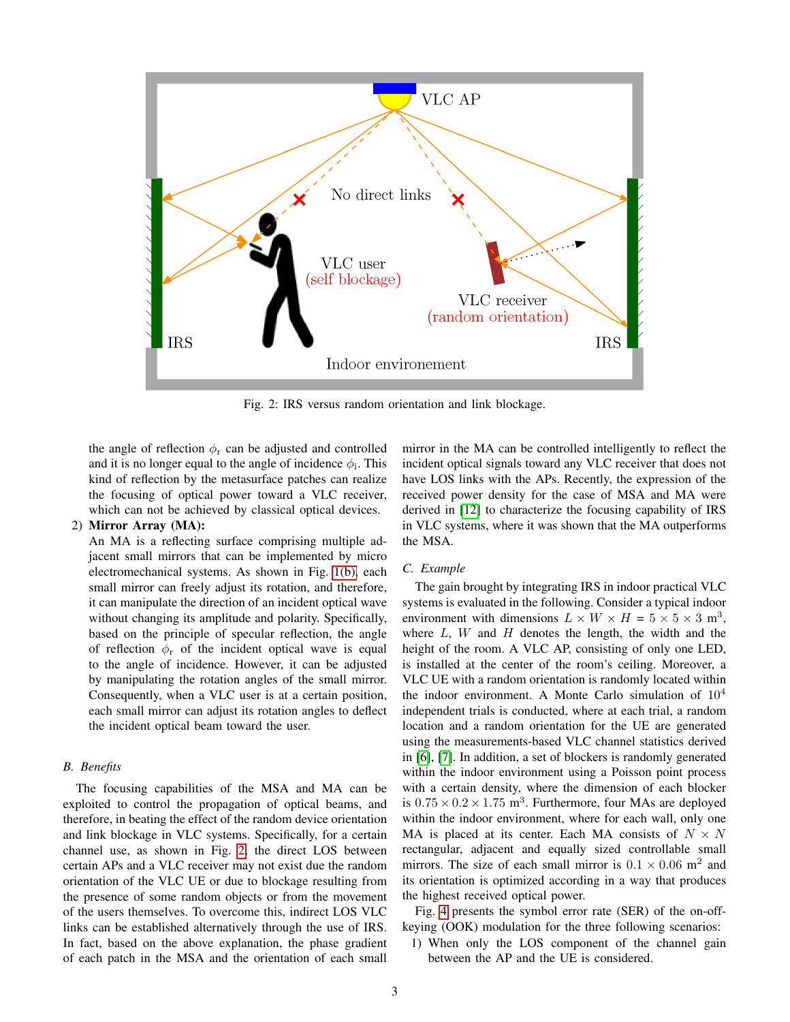<span id="page-2-0"></span>

Fig. 2: IRS versus random orientation and link blockage.

the angle of reflection  $\phi_r$  can be adjusted and controlled and it is no longer equal to the angle of incidence  $\phi_i$ . This kind of reflection by the metasurface patches can realize the focusing of optical power toward a VLC receiver, which can not be achieved by classical optical devices.

# 2) Mirror Array (MA):

An MA is a reflecting surface comprising multiple adjacent small mirrors that can be implemented by micro electromechanical systems. As shown in Fig. [1\(b\),](#page-1-1) each small mirror can freely adjust its rotation, and therefore, it can manipulate the direction of an incident optical wave without changing its amplitude and polarity. Specifically, based on the principle of specular reflection, the angle of reflection  $\phi_r$  of the incident optical wave is equal to the angle of incidence. However, it can be adjusted by manipulating the rotation angles of the small mirror. Consequently, when a VLC user is at a certain position, each small mirror can adjust its rotation angles to deflect the incident optical beam toward the user.

# *B. Benefits*

The focusing capabilities of the MSA and MA can be exploited to control the propagation of optical beams, and therefore, in beating the effect of the random device orientation and link blockage in VLC systems. Specifically, for a certain channel use, as shown in Fig. [2,](#page-2-0) the direct LOS between certain APs and a VLC receiver may not exist due the random orientation of the VLC UE or due to blockage resulting from the presence of some random objects or from the movement of the users themselves. To overcome this, indirect LOS VLC links can be established alternatively through the use of IRS. In fact, based on the above explanation, the phase gradient of each patch in the MSA and the orientation of each small mirror in the MA can be controlled intelligently to reflect the incident optical signals toward any VLC receiver that does not have LOS links with the APs. Recently, the expression of the received power density for the case of MSA and MA were derived in [\[12\]](#page-6-0) to characterize the focusing capability of IRS in VLC systems, where it was shown that the MA outperforms the MSA.

## *C. Example*

The gain brought by integrating IRS in indoor practical VLC systems is evaluated in the following. Consider a typical indoor environment with dimensions  $L \times W \times H = 5 \times 5 \times 3$  m<sup>3</sup>, where  $L$ ,  $W$  and  $H$  denotes the length, the width and the height of the room. A VLC AP, consisting of only one LED, is installed at the center of the room's ceiling. Moreover, a VLC UE with a random orientation is randomly located within the indoor environment. A Monte Carlo simulation of  $10<sup>4</sup>$ independent trials is conducted, where at each trial, a random location and a random orientation for the UE are generated using the measurements-based VLC channel statistics derived in [\[6\]](#page-5-5), [\[7\]](#page-5-6). In addition, a set of blockers is randomly generated within the indoor environment using a Poisson point process with a certain density, where the dimension of each blocker is  $0.75 \times 0.2 \times 1.75$  m<sup>3</sup>. Furthermore, four MAs are deployed within the indoor environment, where for each wall, only one MA is placed at its center. Each MA consists of  $N \times N$ rectangular, adjacent and equally sized controllable small mirrors. The size of each small mirror is  $0.1 \times 0.06$  m<sup>2</sup> and its orientation is optimized according in a way that produces the highest received optical power.

Fig. [4](#page-3-0) presents the symbol error rate (SER) of the on-offkeying (OOK) modulation for the three following scenarios:

1) When only the LOS component of the channel gain between the AP and the UE is considered.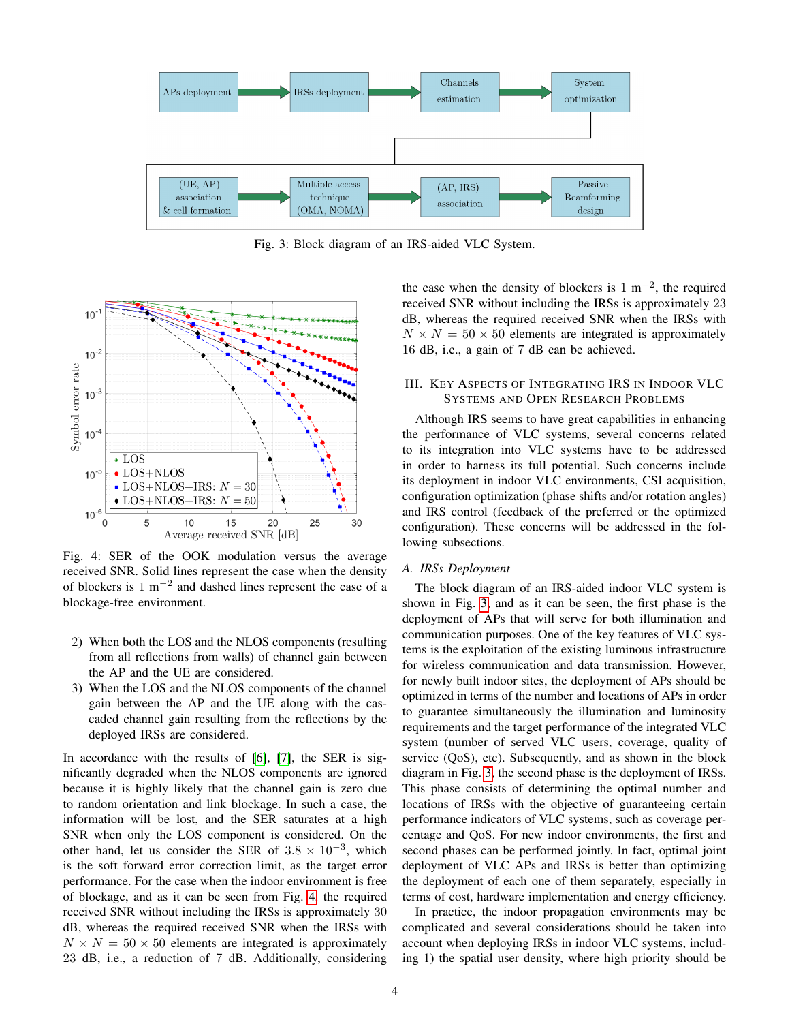<span id="page-3-1"></span>

Fig. 3: Block diagram of an IRS-aided VLC System.

<span id="page-3-0"></span>

Fig. 4: SER of the OOK modulation versus the average received SNR. Solid lines represent the case when the density of blockers is  $1 \text{ m}^{-2}$  and dashed lines represent the case of a blockage-free environment.

- 2) When both the LOS and the NLOS components (resulting from all reflections from walls) of channel gain between the AP and the UE are considered.
- 3) When the LOS and the NLOS components of the channel gain between the AP and the UE along with the cascaded channel gain resulting from the reflections by the deployed IRSs are considered.

In accordance with the results of [\[6\]](#page-5-5), [\[7\]](#page-5-6), the SER is significantly degraded when the NLOS components are ignored because it is highly likely that the channel gain is zero due to random orientation and link blockage. In such a case, the information will be lost, and the SER saturates at a high SNR when only the LOS component is considered. On the other hand, let us consider the SER of  $3.8 \times 10^{-3}$ , which is the soft forward error correction limit, as the target error performance. For the case when the indoor environment is free of blockage, and as it can be seen from Fig. [4,](#page-3-0) the required received SNR without including the IRSs is approximately 30 dB, whereas the required received SNR when the IRSs with  $N \times N = 50 \times 50$  elements are integrated is approximately 23 dB, i.e., a reduction of 7 dB. Additionally, considering

the case when the density of blockers is  $1 \text{ m}^{-2}$ , the required received SNR without including the IRSs is approximately 23 dB, whereas the required received SNR when the IRSs with  $N \times N = 50 \times 50$  elements are integrated is approximately 16 dB, i.e., a gain of 7 dB can be achieved.

# III. KEY ASPECTS OF INTEGRATING IRS IN INDOOR VLC SYSTEMS AND OPEN RESEARCH PROBLEMS

Although IRS seems to have great capabilities in enhancing the performance of VLC systems, several concerns related to its integration into VLC systems have to be addressed in order to harness its full potential. Such concerns include its deployment in indoor VLC environments, CSI acquisition, configuration optimization (phase shifts and/or rotation angles) and IRS control (feedback of the preferred or the optimized configuration). These concerns will be addressed in the following subsections.

## *A. IRSs Deployment*

The block diagram of an IRS-aided indoor VLC system is shown in Fig. [3,](#page-3-1) and as it can be seen, the first phase is the deployment of APs that will serve for both illumination and communication purposes. One of the key features of VLC systems is the exploitation of the existing luminous infrastructure for wireless communication and data transmission. However, for newly built indoor sites, the deployment of APs should be optimized in terms of the number and locations of APs in order to guarantee simultaneously the illumination and luminosity requirements and the target performance of the integrated VLC system (number of served VLC users, coverage, quality of service (QoS), etc). Subsequently, and as shown in the block diagram in Fig. [3,](#page-3-1) the second phase is the deployment of IRSs. This phase consists of determining the optimal number and locations of IRSs with the objective of guaranteeing certain performance indicators of VLC systems, such as coverage percentage and QoS. For new indoor environments, the first and second phases can be performed jointly. In fact, optimal joint deployment of VLC APs and IRSs is better than optimizing the deployment of each one of them separately, especially in terms of cost, hardware implementation and energy efficiency.

In practice, the indoor propagation environments may be complicated and several considerations should be taken into account when deploying IRSs in indoor VLC systems, including 1) the spatial user density, where high priority should be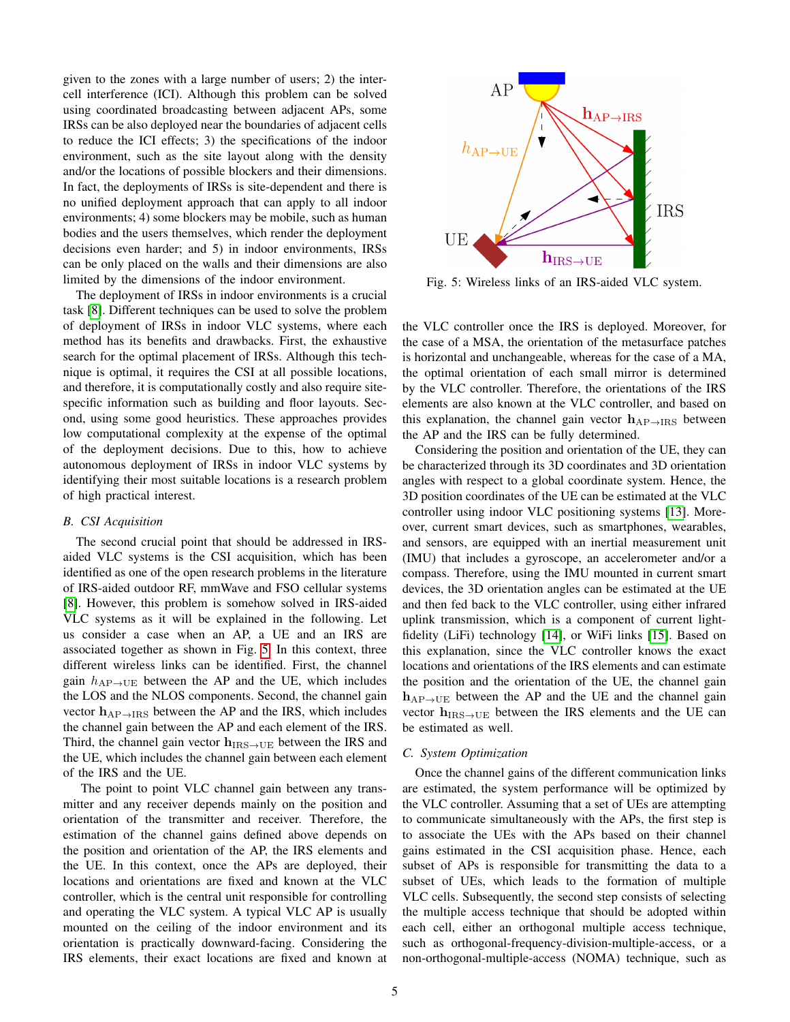given to the zones with a large number of users; 2) the intercell interference (ICI). Although this problem can be solved using coordinated broadcasting between adjacent APs, some IRSs can be also deployed near the boundaries of adjacent cells to reduce the ICI effects; 3) the specifications of the indoor environment, such as the site layout along with the density and/or the locations of possible blockers and their dimensions. In fact, the deployments of IRSs is site-dependent and there is no unified deployment approach that can apply to all indoor environments; 4) some blockers may be mobile, such as human bodies and the users themselves, which render the deployment decisions even harder; and 5) in indoor environments, IRSs can be only placed on the walls and their dimensions are also limited by the dimensions of the indoor environment.

The deployment of IRSs in indoor environments is a crucial task [\[8\]](#page-5-7). Different techniques can be used to solve the problem of deployment of IRSs in indoor VLC systems, where each method has its benefits and drawbacks. First, the exhaustive search for the optimal placement of IRSs. Although this technique is optimal, it requires the CSI at all possible locations, and therefore, it is computationally costly and also require sitespecific information such as building and floor layouts. Second, using some good heuristics. These approaches provides low computational complexity at the expense of the optimal of the deployment decisions. Due to this, how to achieve autonomous deployment of IRSs in indoor VLC systems by identifying their most suitable locations is a research problem of high practical interest.

#### *B. CSI Acquisition*

The second crucial point that should be addressed in IRSaided VLC systems is the CSI acquisition, which has been identified as one of the open research problems in the literature of IRS-aided outdoor RF, mmWave and FSO cellular systems [\[8\]](#page-5-7). However, this problem is somehow solved in IRS-aided VLC systems as it will be explained in the following. Let us consider a case when an AP, a UE and an IRS are associated together as shown in Fig. [5.](#page-4-0) In this context, three different wireless links can be identified. First, the channel gain  $h_{AP\rightarrow UE}$  between the AP and the UE, which includes the LOS and the NLOS components. Second, the channel gain vector  $h_{AP\rightarrow IRS}$  between the AP and the IRS, which includes the channel gain between the AP and each element of the IRS. Third, the channel gain vector  $h_{IRS\rightarrow UE}$  between the IRS and the UE, which includes the channel gain between each element of the IRS and the UE.

The point to point VLC channel gain between any transmitter and any receiver depends mainly on the position and orientation of the transmitter and receiver. Therefore, the estimation of the channel gains defined above depends on the position and orientation of the AP, the IRS elements and the UE. In this context, once the APs are deployed, their locations and orientations are fixed and known at the VLC controller, which is the central unit responsible for controlling and operating the VLC system. A typical VLC AP is usually mounted on the ceiling of the indoor environment and its orientation is practically downward-facing. Considering the IRS elements, their exact locations are fixed and known at

<span id="page-4-0"></span>

Fig. 5: Wireless links of an IRS-aided VLC system.

the VLC controller once the IRS is deployed. Moreover, for the case of a MSA, the orientation of the metasurface patches is horizontal and unchangeable, whereas for the case of a MA, the optimal orientation of each small mirror is determined by the VLC controller. Therefore, the orientations of the IRS elements are also known at the VLC controller, and based on this explanation, the channel gain vector  $h_{AP\rightarrow IRS}$  between the AP and the IRS can be fully determined.

Considering the position and orientation of the UE, they can be characterized through its 3D coordinates and 3D orientation angles with respect to a global coordinate system. Hence, the 3D position coordinates of the UE can be estimated at the VLC controller using indoor VLC positioning systems [\[13\]](#page-6-1). Moreover, current smart devices, such as smartphones, wearables, and sensors, are equipped with an inertial measurement unit (IMU) that includes a gyroscope, an accelerometer and/or a compass. Therefore, using the IMU mounted in current smart devices, the 3D orientation angles can be estimated at the UE and then fed back to the VLC controller, using either infrared uplink transmission, which is a component of current lightfidelity (LiFi) technology [\[14\]](#page-6-2), or WiFi links [\[15\]](#page-6-3). Based on this explanation, since the VLC controller knows the exact locations and orientations of the IRS elements and can estimate the position and the orientation of the UE, the channel gain  $h_{AP\rightarrow UE}$  between the AP and the UE and the channel gain vector  $h_{IRS\rightarrow UE}$  between the IRS elements and the UE can be estimated as well.

# *C. System Optimization*

Once the channel gains of the different communication links are estimated, the system performance will be optimized by the VLC controller. Assuming that a set of UEs are attempting to communicate simultaneously with the APs, the first step is to associate the UEs with the APs based on their channel gains estimated in the CSI acquisition phase. Hence, each subset of APs is responsible for transmitting the data to a subset of UEs, which leads to the formation of multiple VLC cells. Subsequently, the second step consists of selecting the multiple access technique that should be adopted within each cell, either an orthogonal multiple access technique, such as orthogonal-frequency-division-multiple-access, or a non-orthogonal-multiple-access (NOMA) technique, such as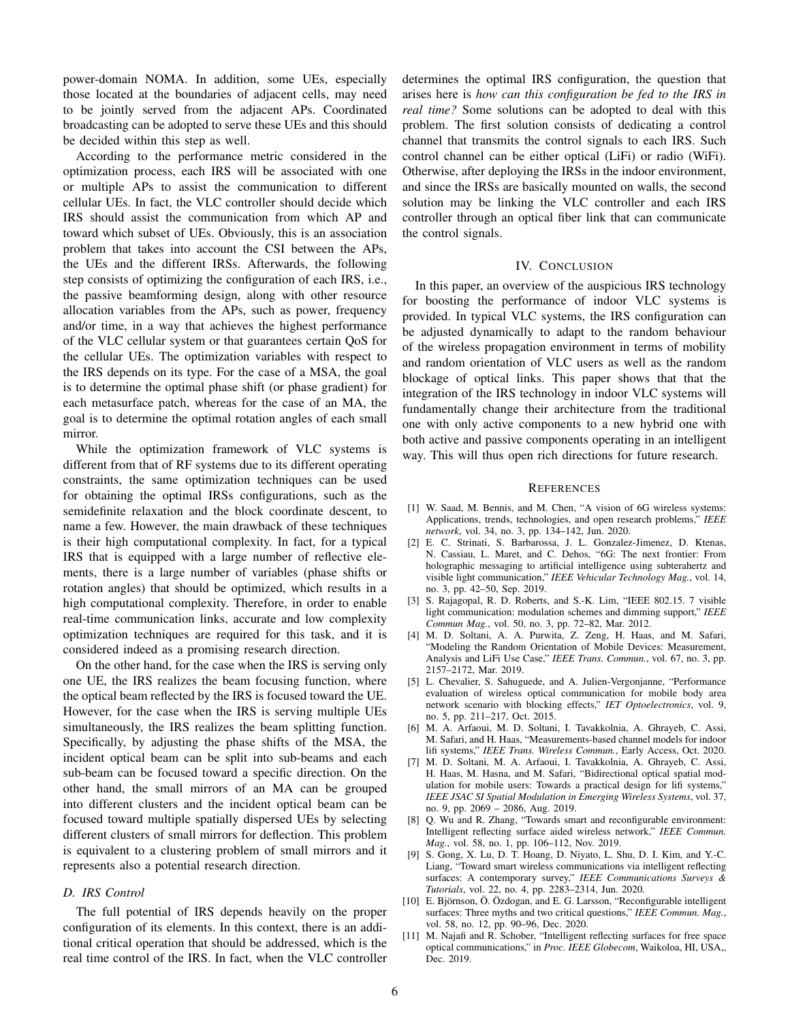power-domain NOMA. In addition, some UEs, especially those located at the boundaries of adjacent cells, may need to be jointly served from the adjacent APs. Coordinated broadcasting can be adopted to serve these UEs and this should be decided within this step as well.

According to the performance metric considered in the optimization process, each IRS will be associated with one or multiple APs to assist the communication to different cellular UEs. In fact, the VLC controller should decide which IRS should assist the communication from which AP and toward which subset of UEs. Obviously, this is an association problem that takes into account the CSI between the APs, the UEs and the different IRSs. Afterwards, the following step consists of optimizing the configuration of each IRS, i.e., the passive beamforming design, along with other resource allocation variables from the APs, such as power, frequency and/or time, in a way that achieves the highest performance of the VLC cellular system or that guarantees certain QoS for the cellular UEs. The optimization variables with respect to the IRS depends on its type. For the case of a MSA, the goal is to determine the optimal phase shift (or phase gradient) for each metasurface patch, whereas for the case of an MA, the goal is to determine the optimal rotation angles of each small mirror.

While the optimization framework of VLC systems is different from that of RF systems due to its different operating constraints, the same optimization techniques can be used for obtaining the optimal IRSs configurations, such as the semidefinite relaxation and the block coordinate descent, to name a few. However, the main drawback of these techniques is their high computational complexity. In fact, for a typical IRS that is equipped with a large number of reflective elements, there is a large number of variables (phase shifts or rotation angles) that should be optimized, which results in a high computational complexity. Therefore, in order to enable real-time communication links, accurate and low complexity optimization techniques are required for this task, and it is considered indeed as a promising research direction.

On the other hand, for the case when the IRS is serving only one UE, the IRS realizes the beam focusing function, where the optical beam reflected by the IRS is focused toward the UE. However, for the case when the IRS is serving multiple UEs simultaneously, the IRS realizes the beam splitting function. Specifically, by adjusting the phase shifts of the MSA, the incident optical beam can be split into sub-beams and each sub-beam can be focused toward a specific direction. On the other hand, the small mirrors of an MA can be grouped into different clusters and the incident optical beam can be focused toward multiple spatially dispersed UEs by selecting different clusters of small mirrors for deflection. This problem is equivalent to a clustering problem of small mirrors and it represents also a potential research direction.

## *D. IRS Control*

The full potential of IRS depends heavily on the proper configuration of its elements. In this context, there is an additional critical operation that should be addressed, which is the real time control of the IRS. In fact, when the VLC controller determines the optimal IRS configuration, the question that arises here is *how can this configuration be fed to the IRS in real time?* Some solutions can be adopted to deal with this problem. The first solution consists of dedicating a control channel that transmits the control signals to each IRS. Such control channel can be either optical (LiFi) or radio (WiFi). Otherwise, after deploying the IRSs in the indoor environment, and since the IRSs are basically mounted on walls, the second solution may be linking the VLC controller and each IRS controller through an optical fiber link that can communicate the control signals.

## IV. CONCLUSION

In this paper, an overview of the auspicious IRS technology for boosting the performance of indoor VLC systems is provided. In typical VLC systems, the IRS configuration can be adjusted dynamically to adapt to the random behaviour of the wireless propagation environment in terms of mobility and random orientation of VLC users as well as the random blockage of optical links. This paper shows that that the integration of the IRS technology in indoor VLC systems will fundamentally change their architecture from the traditional one with only active components to a new hybrid one with both active and passive components operating in an intelligent way. This will thus open rich directions for future research.

#### **REFERENCES**

- <span id="page-5-0"></span>[1] W. Saad, M. Bennis, and M. Chen, "A vision of 6G wireless systems: Applications, trends, technologies, and open research problems," *IEEE network*, vol. 34, no. 3, pp. 134–142, Jun. 2020.
- <span id="page-5-1"></span>[2] E. C. Strinati, S. Barbarossa, J. L. Gonzalez-Jimenez, D. Ktenas, N. Cassiau, L. Maret, and C. Dehos, "6G: The next frontier: From holographic messaging to artificial intelligence using subterahertz and visible light communication," *IEEE Vehicular Technology Mag.*, vol. 14, no. 3, pp. 42–50, Sep. 2019.
- <span id="page-5-2"></span>[3] S. Rajagopal, R. D. Roberts, and S.-K. Lim, "IEEE 802.15. 7 visible light communication: modulation schemes and dimming support," *IEEE Commun Mag.*, vol. 50, no. 3, pp. 72–82, Mar. 2012.
- <span id="page-5-3"></span>[4] M. D. Soltani, A. A. Purwita, Z. Zeng, H. Haas, and M. Safari, "Modeling the Random Orientation of Mobile Devices: Measurement, Analysis and LiFi Use Case," *IEEE Trans. Commun.*, vol. 67, no. 3, pp. 2157–2172, Mar. 2019.
- <span id="page-5-4"></span>[5] L. Chevalier, S. Sahuguede, and A. Julien-Vergonjanne, "Performance evaluation of wireless optical communication for mobile body area network scenario with blocking effects," *IET Optoelectronics*, vol. 9, no. 5, pp. 211–217, Oct. 2015.
- <span id="page-5-5"></span>[6] M. A. Arfaoui, M. D. Soltani, I. Tavakkolnia, A. Ghrayeb, C. Assi, M. Safari, and H. Haas, "Measurements-based channel models for indoor lifi systems," *IEEE Trans. Wireless Commun.*, Early Access, Oct. 2020.
- <span id="page-5-6"></span>[7] M. D. Soltani, M. A. Arfaoui, I. Tavakkolnia, A. Ghrayeb, C. Assi, H. Haas, M. Hasna, and M. Safari, "Bidirectional optical spatial modulation for mobile users: Towards a practical design for lifi systems," *IEEE JSAC SI Spatial Modulation in Emerging Wireless Systems*, vol. 37, no. 9, pp. 2069 – 2086, Aug. 2019.
- <span id="page-5-7"></span>[8] Q. Wu and R. Zhang, "Towards smart and reconfigurable environment: Intelligent reflecting surface aided wireless network," *IEEE Commun. Mag.*, vol. 58, no. 1, pp. 106–112, Nov. 2019.
- <span id="page-5-8"></span>[9] S. Gong, X. Lu, D. T. Hoang, D. Niyato, L. Shu, D. I. Kim, and Y.-C. Liang, "Toward smart wireless communications via intelligent reflecting surfaces: A contemporary survey," *IEEE Communications Surveys & Tutorials*, vol. 22, no. 4, pp. 2283–2314, Jun. 2020.
- <span id="page-5-9"></span>[10] E. Björnson, Ö. Özdogan, and E. G. Larsson, "Reconfigurable intelligent surfaces: Three myths and two critical questions," *IEEE Commun. Mag.*, vol. 58, no. 12, pp. 90–96, Dec. 2020.
- <span id="page-5-10"></span>[11] M. Najafi and R. Schober, "Intelligent reflecting surfaces for free space optical communications," in *Proc. IEEE Globecom*, Waikoloa, HI, USA,, Dec. 2019.